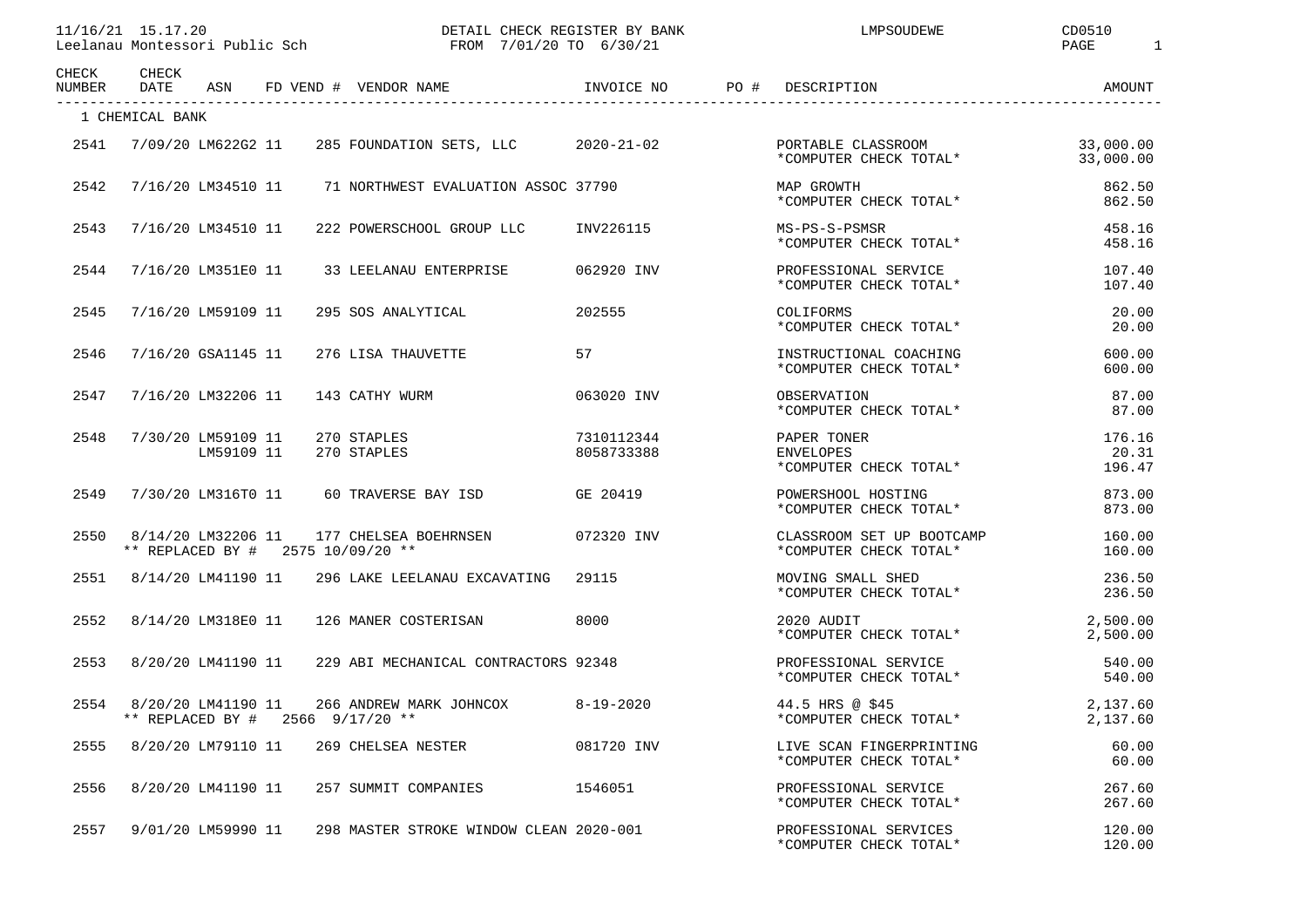11/16/21 15.17.20 DETAIL CHECK REGISTER BY BANK LMPSOUDEWE CD0510

Leelanau Montessori Public Sch FROM 7/01/20 TO 6/30/21

PAGE 1

| CHECK<br>NUMBER | CHECK<br>DATE                          | ASN        |                                   | FD VEND # VENDOR NAME                          | INVOICE NO  PO # DESCRIPTION |                                                           | AMOUNT                    |
|-----------------|----------------------------------------|------------|-----------------------------------|------------------------------------------------|------------------------------|-----------------------------------------------------------|---------------------------|
|                 | 1 CHEMICAL BANK                        |            |                                   |                                                |                              |                                                           |                           |
| 2541            | 7/09/20 LM622G2 11                     |            |                                   | 285 FOUNDATION SETS, LLC 2020-21-02            |                              | PORTABLE CLASSROOM<br>*COMPUTER CHECK TOTAL*              | 33,000.00<br>33,000.00    |
| 2542            | 7/16/20 LM34510 11                     |            |                                   | 71 NORTHWEST EVALUATION ASSOC 37790            |                              | MAP GROWTH<br>*COMPUTER CHECK TOTAL*                      | 862.50<br>862.50          |
| 2543            | 7/16/20 LM34510 11                     |            |                                   | 222 POWERSCHOOL GROUP LLC                      | INV226115                    | MS-PS-S-PSMSR<br>*COMPUTER CHECK TOTAL*                   | 458.16<br>458.16          |
| 2544            | 7/16/20 LM351E0 11                     |            |                                   | 33 LEELANAU ENTERPRISE                         | 062920 INV                   | PROFESSIONAL SERVICE<br>*COMPUTER CHECK TOTAL*            | 107.40<br>107.40          |
| 2545            | 7/16/20 LM59109 11                     |            |                                   | 295 SOS ANALYTICAL                             | 202555                       | COLIFORMS<br>*COMPUTER CHECK TOTAL*                       | 20.00<br>20.00            |
| 2546            | 7/16/20 GSA1145 11                     |            |                                   | 276 LISA THAUVETTE                             | 57                           | INSTRUCTIONAL COACHING<br>*COMPUTER CHECK TOTAL*          | 600.00<br>600.00          |
| 2547            | 7/16/20 LM32206 11                     |            |                                   | 143 CATHY WURM                                 | 063020 INV                   | OBSERVATION<br>*COMPUTER CHECK TOTAL*                     | 87.00<br>87.00            |
| 2548            | 7/30/20 LM59109 11                     | LM59109 11 |                                   | 270 STAPLES<br>270 STAPLES                     | 7310112344<br>8058733388     | PAPER TONER<br><b>ENVELOPES</b><br>*COMPUTER CHECK TOTAL* | 176.16<br>20.31<br>196.47 |
| 2549            | 7/30/20 LM316T0 11                     |            |                                   | 60 TRAVERSE BAY ISD                            | GE 20419                     | POWERSHOOL HOSTING<br>*COMPUTER CHECK TOTAL*              | 873.00<br>873.00          |
| 2550            | 8/14/20 LM32206 11                     |            | ** REPLACED BY # 2575 10/09/20 ** | 177 CHELSEA BOEHRNSEN                          | 072320 INV                   | CLASSROOM SET UP BOOTCAMP<br>*COMPUTER CHECK TOTAL*       | 160.00<br>160.00          |
| 2551            | 8/14/20 LM41190 11                     |            |                                   | 296 LAKE LEELANAU EXCAVATING                   | 29115                        | MOVING SMALL SHED<br>*COMPUTER CHECK TOTAL*               | 236.50<br>236.50          |
| 2552            | 8/14/20 LM318E0 11                     |            |                                   | 126 MANER COSTERISAN                           | 8000                         | 2020 AUDIT<br>*COMPUTER CHECK TOTAL*                      | 2,500.00<br>2,500.00      |
| 2553            | 8/20/20 LM41190 11                     |            |                                   | 229 ABI MECHANICAL CONTRACTORS 92348           |                              | PROFESSIONAL SERVICE<br>*COMPUTER CHECK TOTAL*            | 540.00<br>540.00          |
| 2554            | 8/20/20 LM41190 11<br>** REPLACED BY # |            |                                   | 266 ANDREW MARK JOHNCOX<br>$2566$ $9/17/20$ ** | $8 - 19 - 2020$              | 44.5 HRS @ \$45<br>*COMPUTER CHECK TOTAL*                 | 2,137.60<br>2,137.60      |
| 2555            | 8/20/20 LM79110 11                     |            |                                   | 269 CHELSEA NESTER                             | 081720 INV                   | LIVE SCAN FINGERPRINTING<br>*COMPUTER CHECK TOTAL*        | 60.00<br>60.00            |
| 2556            | 8/20/20 LM41190 11                     |            |                                   | 257 SUMMIT COMPANIES                           | 1546051                      | PROFESSIONAL SERVICE<br>*COMPUTER CHECK TOTAL*            | 267.60<br>267.60          |
| 2557            | 9/01/20 LM59990 11                     |            |                                   | 298 MASTER STROKE WINDOW CLEAN 2020-001        |                              | PROFESSIONAL SERVICES<br>*COMPUTER CHECK TOTAL*           | 120.00<br>120.00          |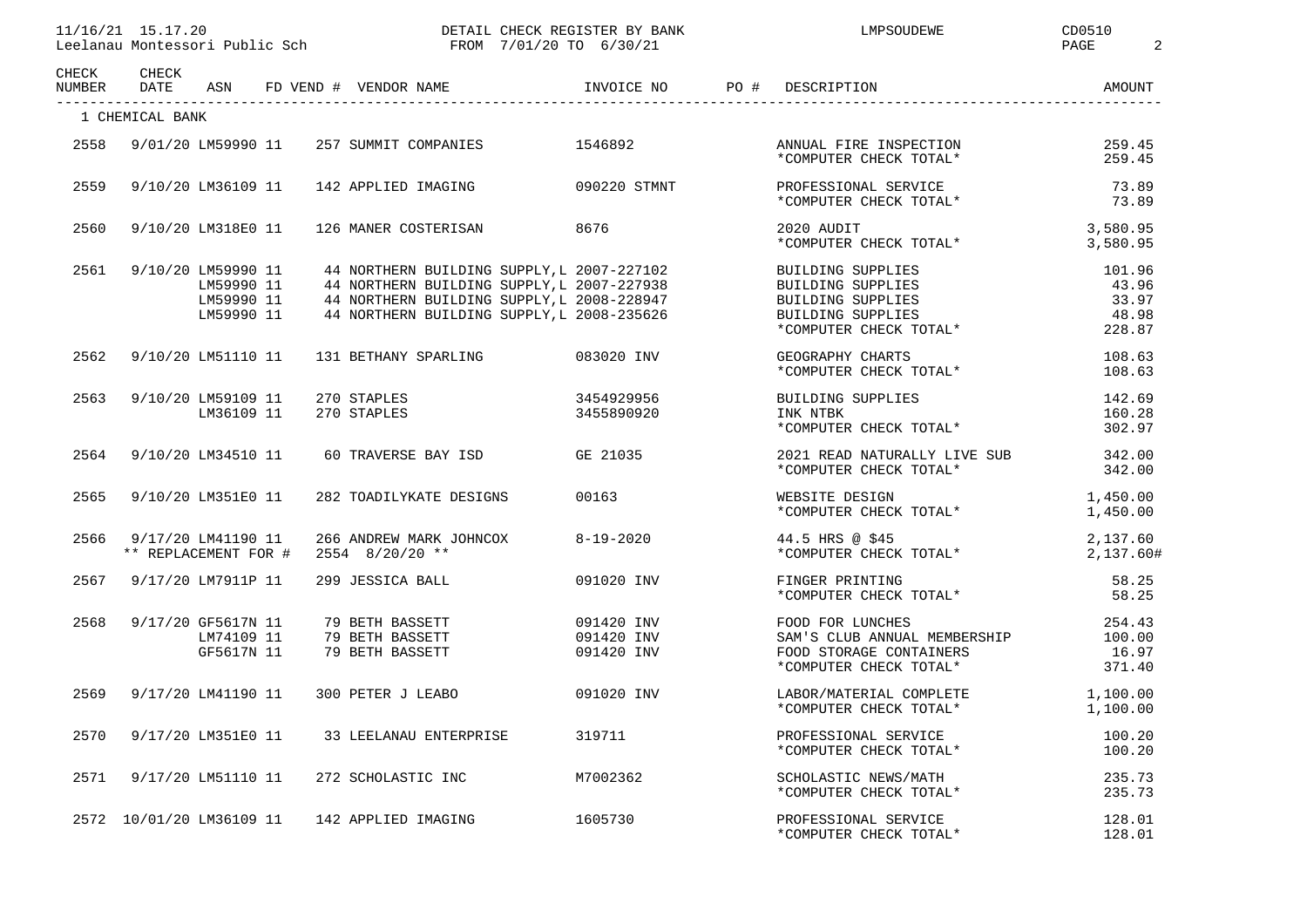| 1111 <i>1</i> 101<br>.20<br>11/16/21         | CHECK REGISTER BY BANK<br><b>DEEAT1</b>                                                                                                              | MPSOUDEWE | ⊐DO⊾<br>◡◡◡◡+ |  |
|----------------------------------------------|------------------------------------------------------------------------------------------------------------------------------------------------------|-----------|---------------|--|
| Leelanau<br>Montessori<br>Public Sch<br>-961 | 5/30/21<br>/20 TO<br>7/01<br>FROM<br>the contract of the contract of the contract of the contract of the contract of the contract of the contract of |           | PAGE          |  |

| CHECK<br>NUMBER | CHECK<br><b>DATE</b>     | ASN                                                          | FD VEND # VENDOR NAME                                                                                                                                                                | INVOICE NO                             | PO #<br>DESCRIPTION                                                                                        | AMOUNT                                      |
|-----------------|--------------------------|--------------------------------------------------------------|--------------------------------------------------------------------------------------------------------------------------------------------------------------------------------------|----------------------------------------|------------------------------------------------------------------------------------------------------------|---------------------------------------------|
|                 | 1 CHEMICAL BANK          |                                                              |                                                                                                                                                                                      |                                        |                                                                                                            |                                             |
| 2558            |                          | 9/01/20 LM59990 11                                           | 257 SUMMIT COMPANIES                                                                                                                                                                 | 1546892                                | ANNUAL FIRE INSPECTION<br>*COMPUTER CHECK TOTAL*                                                           | 259.45<br>259.45                            |
| 2559            |                          | 9/10/20 LM36109 11                                           | 142 APPLIED IMAGING                                                                                                                                                                  | 090220 STMNT                           | PROFESSIONAL SERVICE<br>*COMPUTER CHECK TOTAL*                                                             | 73.89<br>73.89                              |
| 2560            |                          | 9/10/20 LM318E0 11                                           | 126 MANER COSTERISAN                                                                                                                                                                 | 8676                                   | 2020 AUDIT<br>*COMPUTER CHECK TOTAL*                                                                       | 3,580.95<br>3,580.95                        |
| 2561            |                          | 9/10/20 LM59990 11<br>LM59990 11<br>LM59990 11<br>LM59990 11 | 44 NORTHERN BUILDING SUPPLY, L 2007-227102<br>44 NORTHERN BUILDING SUPPLY, L 2007-227938<br>44 NORTHERN BUILDING SUPPLY, L 2008-228947<br>44 NORTHERN BUILDING SUPPLY, L 2008-235626 |                                        | BUILDING SUPPLIES<br>BUILDING SUPPLIES<br>BUILDING SUPPLIES<br>BUILDING SUPPLIES<br>*COMPUTER CHECK TOTAL* | 101.96<br>43.96<br>33.97<br>48.98<br>228.87 |
| 2562            |                          | 9/10/20 LM51110 11                                           | 131 BETHANY SPARLING 083020 INV                                                                                                                                                      |                                        | GEOGRAPHY CHARTS<br>*COMPUTER CHECK TOTAL*                                                                 | 108.63<br>108.63                            |
| 2563            |                          | 9/10/20 LM59109 11<br>LM36109 11                             | 3454929956<br>3455890920<br>270 STAPLES<br>270 STAPLES                                                                                                                               |                                        | BUILDING SUPPLIES<br>INK NTBK<br>*COMPUTER CHECK TOTAL*                                                    | 142.69<br>160.28<br>302.97                  |
| 2564            |                          | 9/10/20 LM34510 11                                           | 60 TRAVERSE BAY ISD GE 21035                                                                                                                                                         |                                        | 2021 READ NATURALLY LIVE SUB 342.00<br>*COMPUTER CHECK TOTAL*                                              | 342.00                                      |
| 2565            |                          | 9/10/20 LM351E0 11                                           | 282 TOADILYKATE DESIGNS                                                                                                                                                              | 00163                                  | WEBSITE DESIGN<br>*COMPUTER CHECK TOTAL*                                                                   | 1,450.00<br>1,450.00                        |
| 2566            | ** REPLACEMENT FOR #     | 9/17/20 LM41190 11                                           | 266 ANDREW MARK JOHNCOX<br>$2554$ $8/20/20$ **                                                                                                                                       | 8-19-2020                              | 44.5 HRS @ \$45<br>*COMPUTER CHECK TOTAL*                                                                  | 2,137.60<br>2,137.60#                       |
| 2567            |                          | 9/17/20 LM7911P 11                                           | 299 JESSICA BALL                                                                                                                                                                     | 091020 INV                             | FINGER PRINTING<br>*COMPUTER CHECK TOTAL*                                                                  | 58.25<br>58.25                              |
| 2568            |                          | 9/17/20 GF5617N 11<br>LM74109 11<br>GF5617N 11               | 79 BETH BASSETT<br>79 BETH BASSETT<br>79 BETH BASSETT                                                                                                                                | 091420 INV<br>091420 INV<br>091420 INV | FOOD FOR LUNCHES<br>SAM'S CLUB ANNUAL MEMBERSHIP<br>FOOD STORAGE CONTAINERS<br>*COMPUTER CHECK TOTAL*      | 254.43<br>100.00<br>16.97<br>371.40         |
| 2569            |                          | 9/17/20 LM41190 11                                           | 300 PETER J LEABO                                                                                                                                                                    | 091020 INV                             | LABOR/MATERIAL COMPLETE 1,100.00<br>*COMPUTER CHECK TOTAL*                                                 | 1,100.00                                    |
| 2570            |                          | 9/17/20 LM351E0 11                                           | 33 LEELANAU ENTERPRISE                                                                                                                                                               | 319711                                 | PROFESSIONAL SERVICE<br>*COMPUTER CHECK TOTAL*                                                             | 100.20<br>100.20                            |
| 2571            |                          | 9/17/20 LM51110 11                                           | 272 SCHOLASTIC INC M7002362                                                                                                                                                          |                                        | SCHOLASTIC NEWS/MATH<br>*COMPUTER CHECK TOTAL*                                                             | 235.73<br>235.73                            |
|                 | 2572 10/01/20 LM36109 11 |                                                              | 142 APPLIED IMAGING                                                                                                                                                                  | 1605730                                | PROFESSIONAL SERVICE<br>*COMPUTER CHECK TOTAL*                                                             | 128.01<br>128.01                            |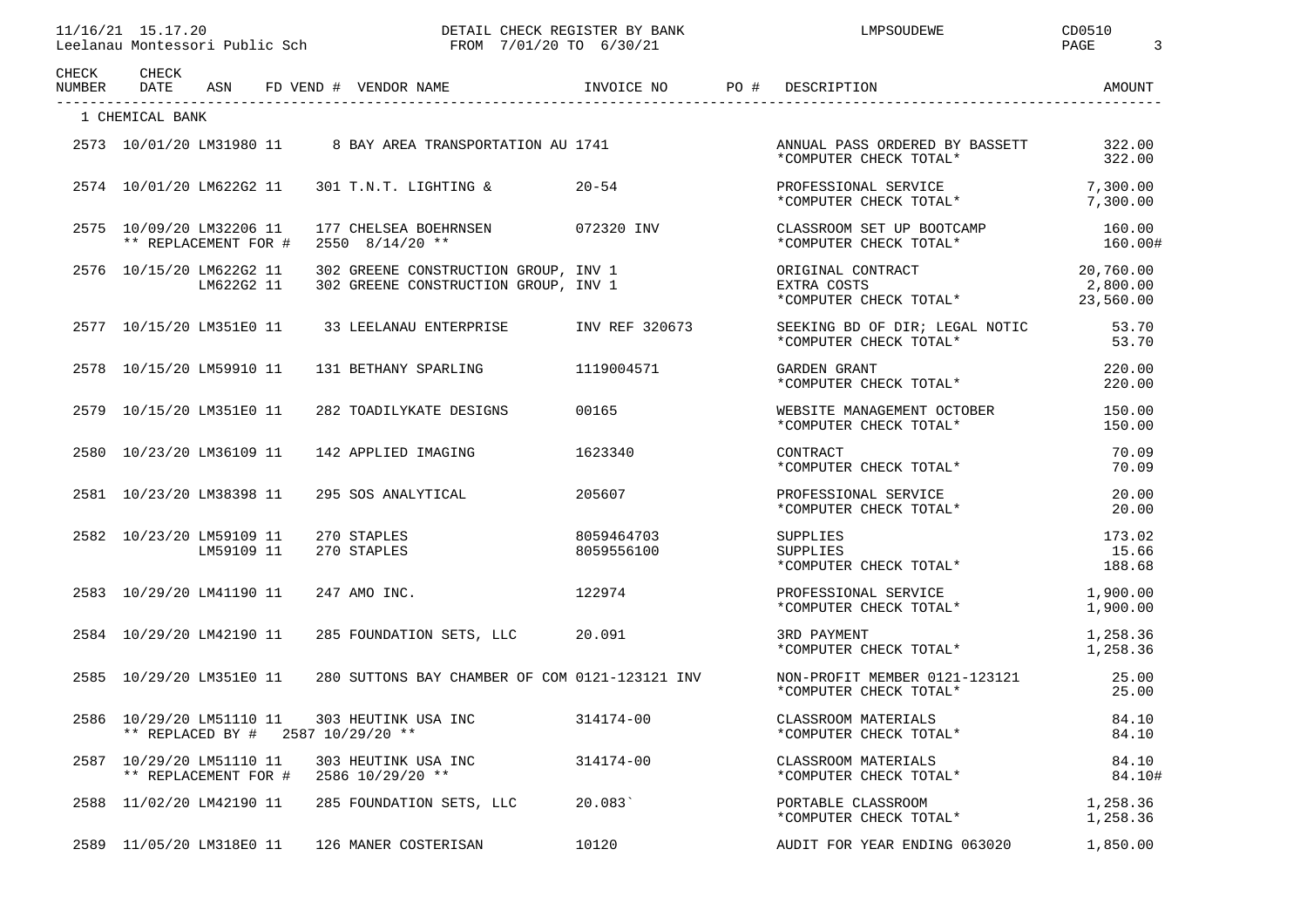| CHECK<br>NUMBER | CHECK<br>DATE                                    |            |  | ASN FD VEND # VENDOR NAME                                                    | INVOICE NO               | PO # DESCRIPTION                                           | AMOUNT                             |
|-----------------|--------------------------------------------------|------------|--|------------------------------------------------------------------------------|--------------------------|------------------------------------------------------------|------------------------------------|
|                 | 1 CHEMICAL BANK                                  |            |  |                                                                              |                          |                                                            |                                    |
|                 | 2573 10/01/20 LM31980 11                         |            |  | 8 BAY AREA TRANSPORTATION AU 1741                                            |                          | ANNUAL PASS ORDERED BY BASSETT<br>*COMPUTER CHECK TOTAL*   | 322.00<br>322.00                   |
|                 | 2574 10/01/20 LM622G2 11                         |            |  | 301 T.N.T. LIGHTING &                                                        | $20 - 54$                | PROFESSIONAL SERVICE<br>*COMPUTER CHECK TOTAL*             | 7,300.00<br>7,300.00               |
|                 | 2575 10/09/20 LM32206 11<br>** REPLACEMENT FOR # |            |  | 177 CHELSEA BOEHRNSEN<br>$2550$ $8/14/20$ **                                 | 072320 INV               | CLASSROOM SET UP BOOTCAMP<br>*COMPUTER CHECK TOTAL*        | 160.00<br>160.00#                  |
|                 | 2576 10/15/20 LM622G2 11                         | LM622G2 11 |  | 302 GREENE CONSTRUCTION GROUP, INV 1<br>302 GREENE CONSTRUCTION GROUP, INV 1 |                          | ORIGINAL CONTRACT<br>EXTRA COSTS<br>*COMPUTER CHECK TOTAL* | 20,760.00<br>2,800.00<br>23,560.00 |
|                 | 2577 10/15/20 LM351E0 11                         |            |  | 33 LEELANAU ENTERPRISE                                                       | INV REF 320673           | SEEKING BD OF DIR; LEGAL NOTIC<br>*COMPUTER CHECK TOTAL*   | 53.70<br>53.70                     |
|                 | 2578 10/15/20 LM59910 11                         |            |  | 131 BETHANY SPARLING 1119004571                                              |                          | GARDEN GRANT<br>*COMPUTER CHECK TOTAL*                     | 220.00<br>220.00                   |
|                 | 2579 10/15/20 LM351E0 11                         |            |  | 282 TOADILYKATE DESIGNS                                                      | 00165                    | WEBSITE MANAGEMENT OCTOBER<br>*COMPUTER CHECK TOTAL*       | 150.00<br>150.00                   |
|                 | 2580 10/23/20 LM36109 11                         |            |  | 142 APPLIED IMAGING                                                          | 1623340                  | CONTRACT<br>*COMPUTER CHECK TOTAL*                         | 70.09<br>70.09                     |
|                 | 2581 10/23/20 LM38398 11                         |            |  | 295 SOS ANALYTICAL                                                           | 205607                   | PROFESSIONAL SERVICE<br>*COMPUTER CHECK TOTAL*             | 20.00<br>20.00                     |
|                 | 2582 10/23/20 LM59109 11                         | LM59109 11 |  | 270 STAPLES<br>270 STAPLES                                                   | 8059464703<br>8059556100 | SUPPLIES<br>SUPPLIES<br>*COMPUTER CHECK TOTAL*             | 173.02<br>15.66<br>188.68          |
|                 | 2583 10/29/20 LM41190 11                         |            |  | 247 AMO INC.                                                                 | 122974                   | PROFESSIONAL SERVICE<br>*COMPUTER CHECK TOTAL*             | 1,900.00<br>1,900.00               |
|                 | 2584 10/29/20 LM42190 11                         |            |  | 285 FOUNDATION SETS, LLC                                                     | 20.091                   | 3RD PAYMENT<br>*COMPUTER CHECK TOTAL*                      | 1,258.36<br>1,258.36               |
|                 | 2585 10/29/20 LM351E0 11                         |            |  | 280 SUTTONS BAY CHAMBER OF COM 0121-123121 INV                               |                          | NON-PROFIT MEMBER 0121-123121<br>*COMPUTER CHECK TOTAL*    | 25.00<br>25.00                     |
|                 | 2586 10/29/20 LM51110 11                         |            |  | 303 HEUTINK USA INC<br>** REPLACED BY # 2587 10/29/20 **                     | 314174-00                | CLASSROOM MATERIALS<br>*COMPUTER CHECK TOTAL*              | 84.10<br>84.10                     |
|                 | 2587 10/29/20 LM51110 11<br>** REPLACEMENT FOR # |            |  | 303 HEUTINK USA INC<br>2586 10/29/20 **                                      | 314174-00                | CLASSROOM MATERIALS<br>*COMPUTER CHECK TOTAL*              | 84.10<br>84.10#                    |
|                 | 2588 11/02/20 LM42190 11                         |            |  | 285 FOUNDATION SETS, LLC 20.083                                              |                          | PORTABLE CLASSROOM<br>*COMPUTER CHECK TOTAL*               | 1,258.36<br>1,258.36               |
|                 | 2589 11/05/20 LM318E0 11                         |            |  | 126 MANER COSTERISAN                                                         | 10120                    | AUDIT FOR YEAR ENDING 063020                               | 1,850.00                           |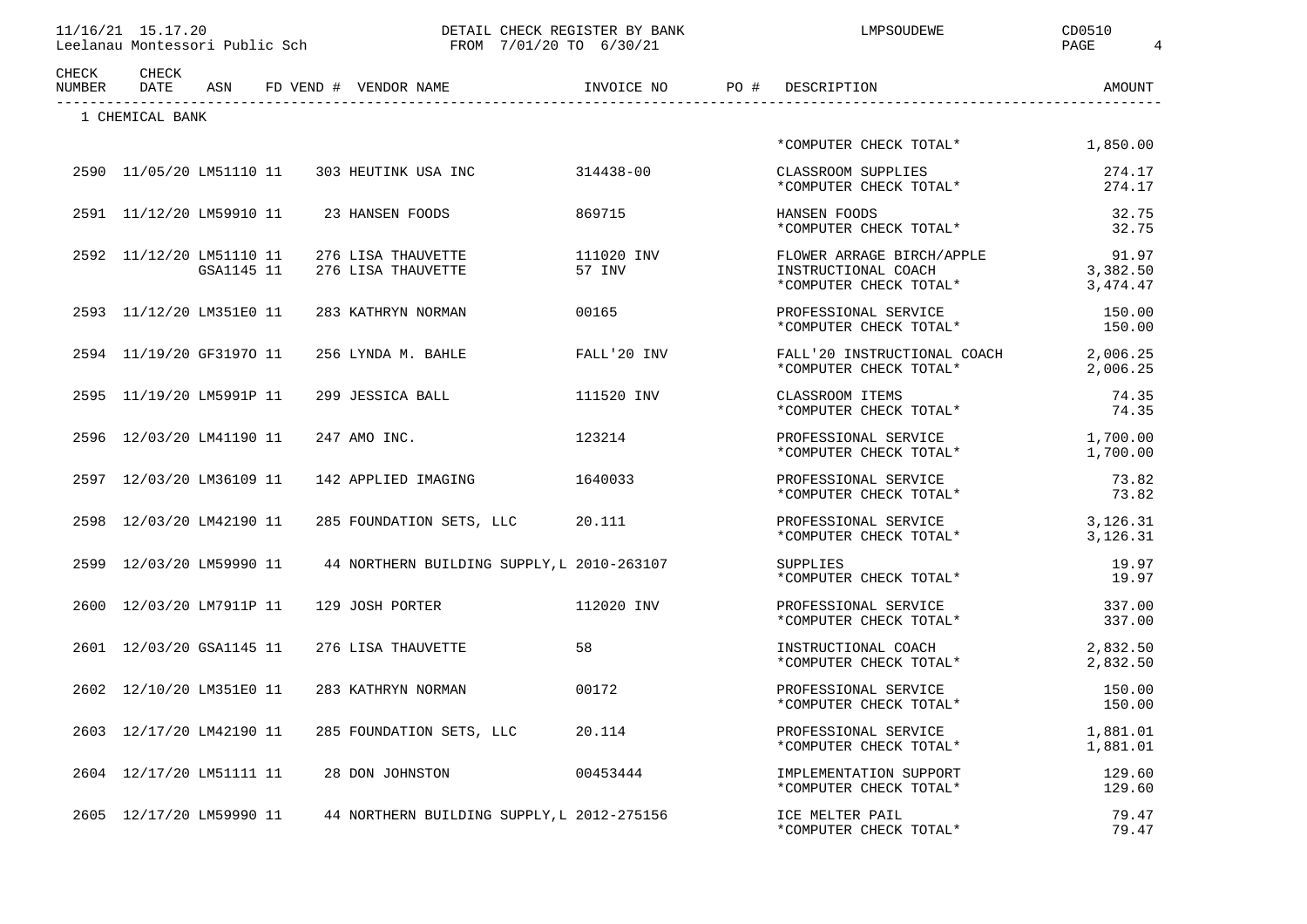| 11/16/21 15.17.20 |                                                             |  |
|-------------------|-------------------------------------------------------------|--|
|                   | r a a Thangaiste Mhangair a an an air an t-Bhaile an Airbhe |  |

DETAIL CHECK REGISTER BY BANK LATE LAPSOUDEWE CD0510

| CHECK<br>NUMBER | CHECK<br>DATE            | ASN        | INVOICE NO<br>FD VEND # VENDOR NAME          |                      | PO # | DESCRIPTION                                                                | AMOUNT                        |
|-----------------|--------------------------|------------|----------------------------------------------|----------------------|------|----------------------------------------------------------------------------|-------------------------------|
|                 | 1 CHEMICAL BANK          |            |                                              |                      |      |                                                                            |                               |
|                 |                          |            |                                              |                      |      | *COMPUTER CHECK TOTAL*                                                     | 1,850.00                      |
|                 |                          |            | 2590 11/05/20 LM51110 11 303 HEUTINK USA INC | 314438-00            |      | CLASSROOM SUPPLIES<br>*COMPUTER CHECK TOTAL*                               | 274.17<br>274.17              |
|                 | 2591 11/12/20 LM59910 11 |            | 23 HANSEN FOODS                              | 869715               |      | HANSEN FOODS<br>*COMPUTER CHECK TOTAL*                                     | 32.75<br>32.75                |
|                 | 2592 11/12/20 LM51110 11 | GSA1145 11 | 276 LISA THAUVETTE<br>276 LISA THAUVETTE     | 111020 INV<br>57 INV |      | FLOWER ARRAGE BIRCH/APPLE<br>INSTRUCTIONAL COACH<br>*COMPUTER CHECK TOTAL* | 91.97<br>3,382.50<br>3,474.47 |
|                 | 2593 11/12/20 LM351E0 11 |            | 283 KATHRYN NORMAN                           | 00165                |      | PROFESSIONAL SERVICE<br>*COMPUTER CHECK TOTAL*                             | 150.00<br>150.00              |
|                 | 2594 11/19/20 GF31970 11 |            | 256 LYNDA M. BAHLE                           | FALL'20 INV          |      | FALL'20 INSTRUCTIONAL COACH<br>*COMPUTER CHECK TOTAL*                      | 2,006.25<br>2,006.25          |
|                 | 2595 11/19/20 LM5991P 11 |            | 299 JESSICA BALL                             | 111520 INV           |      | CLASSROOM ITEMS<br>*COMPUTER CHECK TOTAL*                                  | 74.35<br>74.35                |
|                 | 2596 12/03/20 LM41190 11 |            | 247 AMO INC.                                 | 123214               |      | PROFESSIONAL SERVICE<br>*COMPUTER CHECK TOTAL*                             | 1,700.00<br>1,700.00          |
|                 | 2597 12/03/20 LM36109 11 |            | 142 APPLIED IMAGING                          | 1640033              |      | PROFESSIONAL SERVICE<br>*COMPUTER CHECK TOTAL*                             | 73.82<br>73.82                |
|                 | 2598 12/03/20 LM42190 11 |            | 285 FOUNDATION SETS, LLC                     | 20.111               |      | PROFESSIONAL SERVICE<br>*COMPUTER CHECK TOTAL*                             | 3,126.31<br>3,126.31          |
|                 | 2599 12/03/20 LM59990 11 |            | 44 NORTHERN BUILDING SUPPLY, L 2010-263107   |                      |      | SUPPLIES<br>*COMPUTER CHECK TOTAL*                                         | 19.97<br>19.97                |
|                 | 2600 12/03/20 LM7911P 11 |            | 129 JOSH PORTER                              | 112020 INV           |      | PROFESSIONAL SERVICE<br>*COMPUTER CHECK TOTAL*                             | 337.00<br>337.00              |
|                 | 2601 12/03/20 GSA1145 11 |            | 276 LISA THAUVETTE                           | 58                   |      | INSTRUCTIONAL COACH<br>*COMPUTER CHECK TOTAL*                              | 2,832.50<br>2,832.50          |
|                 | 2602 12/10/20 LM351E0 11 |            | 283 KATHRYN NORMAN                           | 00172                |      | PROFESSIONAL SERVICE<br>*COMPUTER CHECK TOTAL*                             | 150.00<br>150.00              |
|                 | 2603 12/17/20 LM42190 11 |            | 285 FOUNDATION SETS, LLC                     | 20.114               |      | PROFESSIONAL SERVICE<br>*COMPUTER CHECK TOTAL*                             | 1,881.01<br>1,881.01          |
|                 | 2604 12/17/20 LM51111 11 |            | 28 DON JOHNSTON                              | 00453444             |      | IMPLEMENTATION SUPPORT<br>*COMPUTER CHECK TOTAL*                           | 129.60<br>129.60              |
|                 | 2605 12/17/20 LM59990 11 |            | 44 NORTHERN BUILDING SUPPLY, L 2012-275156   |                      |      | ICE MELTER PAIL<br>*COMPUTER CHECK TOTAL*                                  | 79.47<br>79.47                |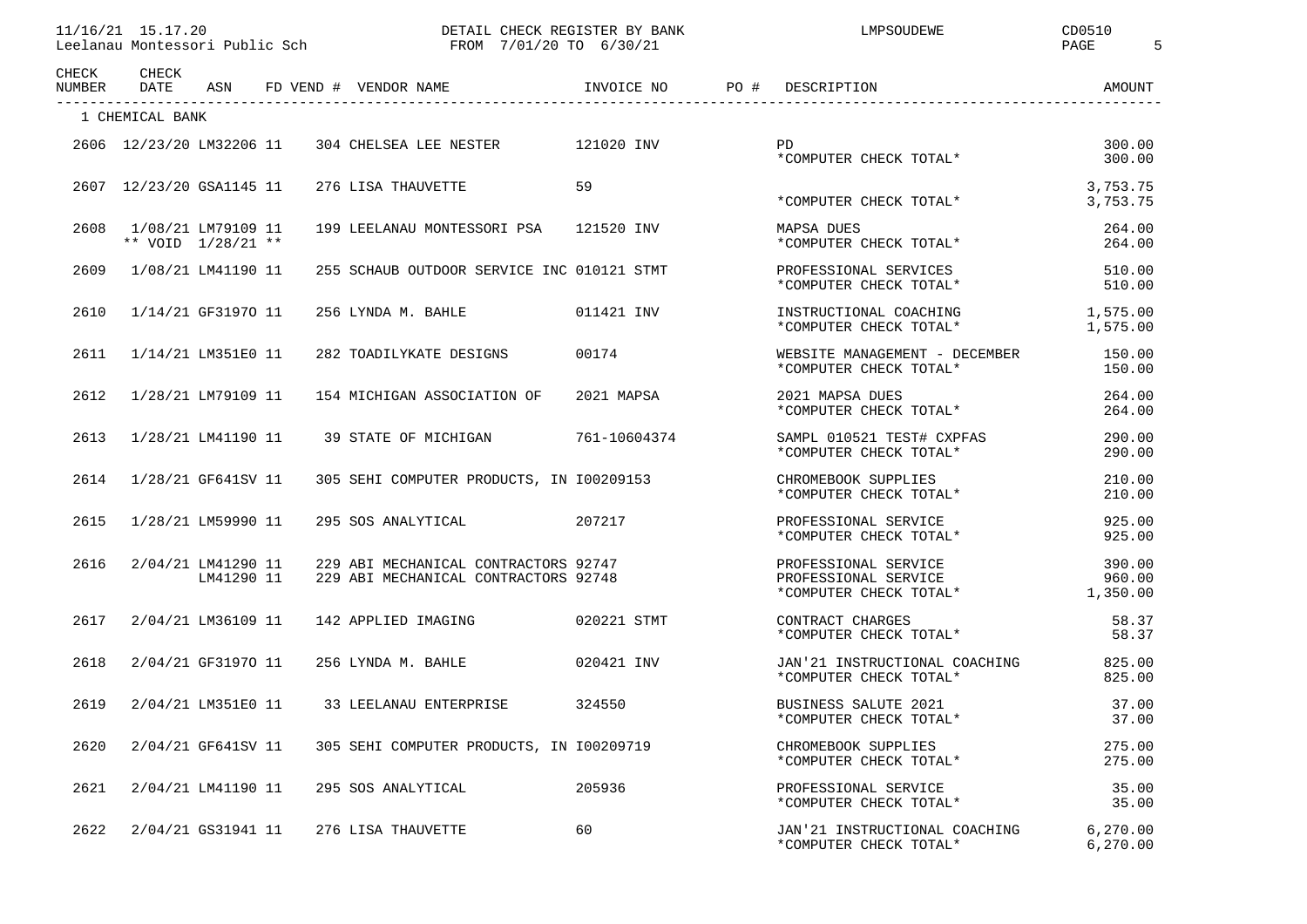DETAIL CHECK REGISTER BY BANK LATE LANDSOUDEWE CD0510 Leelanau Montessori Public Sch FROM 7/01/20 TO 6/30/21 PAGE 5

| CHECK<br>NUMBER | CHECK<br>DATE            | ASN                              | FD VEND # VENDOR NAME                                                        | INVOICE NO<br>PO # | DESCRIPTION                                                                     | AMOUNT                |
|-----------------|--------------------------|----------------------------------|------------------------------------------------------------------------------|--------------------|---------------------------------------------------------------------------------|-----------------------|
|                 | 1 CHEMICAL BANK          |                                  |                                                                              |                    |                                                                                 |                       |
|                 | 2606 12/23/20 LM32206 11 |                                  | 304 CHELSEA LEE NESTER 121020 INV                                            |                    | <b>PD</b><br>*COMPUTER CHECK TOTAL*                                             | 300.00<br>300.00      |
|                 | 2607 12/23/20 GSA1145 11 |                                  | 276 LISA THAUVETTE                                                           | 59                 | *COMPUTER CHECK TOTAL*                                                          | 3,753.75<br>3,753.75  |
| 2608            | ** VOID 1/28/21 **       | 1/08/21 LM79109 11               | 199 LEELANAU MONTESSORI PSA 121520 INV                                       |                    | MAPSA DUES<br>*COMPUTER CHECK TOTAL*                                            | 264.00<br>264.00      |
| 2609            |                          | 1/08/21 LM41190 11               | 255 SCHAUB OUTDOOR SERVICE INC 010121 STMT                                   |                    | PROFESSIONAL SERVICES<br>*COMPUTER CHECK TOTAL*                                 | 510.00<br>510.00      |
| 2610            |                          | 1/14/21 GF31970 11               | 256 LYNDA M. BAHLE                                                           | 011421 INV         | INSTRUCTIONAL COACHING<br>*COMPUTER CHECK TOTAL*                                | 1,575.00<br>1,575.00  |
| 2611            |                          | 1/14/21 LM351E0 11               | 282 TOADILYKATE DESIGNS                                                      | 00174              | WEBSITE MANAGEMENT - DECEMBER<br>*COMPUTER CHECK TOTAL*                         | 150.00<br>150.00      |
| 2612            |                          | 1/28/21 LM79109 11               | 154 MICHIGAN ASSOCIATION OF                                                  | 2021 MAPSA         | 2021 MAPSA DUES<br>*COMPUTER CHECK TOTAL*                                       | 264.00<br>264.00      |
| 2613            |                          | 1/28/21 LM41190 11               | 39 STATE OF MICHIGAN                                                         | 761-10604374       | SAMPL 010521 TEST# CXPFAS<br>*COMPUTER CHECK TOTAL*                             | 290.00<br>290.00      |
| 2614            |                          | 1/28/21 GF641SV 11               | 305 SEHI COMPUTER PRODUCTS, IN 100209153                                     |                    | CHROMEBOOK SUPPLIES<br>*COMPUTER CHECK TOTAL*                                   | 210.00<br>210.00      |
| 2615            |                          | 1/28/21 LM59990 11               | 295 SOS ANALYTICAL 207217                                                    |                    | PROFESSIONAL SERVICE<br>*COMPUTER CHECK TOTAL*                                  | 925.00<br>925.00      |
| 2616            |                          | 2/04/21 LM41290 11<br>LM41290 11 | 229 ABI MECHANICAL CONTRACTORS 92747<br>229 ABI MECHANICAL CONTRACTORS 92748 |                    | PROFESSIONAL SERVICE<br>PROFESSIONAL SERVICE<br>*COMPUTER CHECK TOTAL* 1,350.00 | 390.00<br>960.00      |
| 2617            |                          | 2/04/21 LM36109 11               | 142 APPLIED IMAGING                                                          | 020221 STMT        | CONTRACT CHARGES<br>*COMPUTER CHECK TOTAL*                                      | 58.37<br>58.37        |
| 2618            |                          | 2/04/21 GF31970 11               | 256 LYNDA M. BAHLE                                                           | 020421 INV         | JAN'21 INSTRUCTIONAL COACHING<br>*COMPUTER CHECK TOTAL*                         | 825.00<br>825.00      |
| 2619            |                          | 2/04/21 LM351E0 11               | 33 LEELANAU ENTERPRISE                                                       | 324550             | BUSINESS SALUTE 2021<br>*COMPUTER CHECK TOTAL*                                  | 37.00<br>37.00        |
| 2620            |                          | 2/04/21 GF641SV 11               | 305 SEHI COMPUTER PRODUCTS, IN 100209719                                     |                    | CHROMEBOOK SUPPLIES<br>*COMPUTER CHECK TOTAL*                                   | 275.00<br>275.00      |
| 2621            |                          | 2/04/21 LM41190 11               | 205936<br>295 SOS ANALYTICAL                                                 |                    | PROFESSIONAL SERVICE<br>*COMPUTER CHECK TOTAL*                                  | 35.00<br>35.00        |
| 2622            |                          | 2/04/21 GS31941 11               | 276 LISA THAUVETTE                                                           | 60                 | JAN'21 INSTRUCTIONAL COACHING<br>*COMPUTER CHECK TOTAL*                         | 6, 270.00<br>6,270.00 |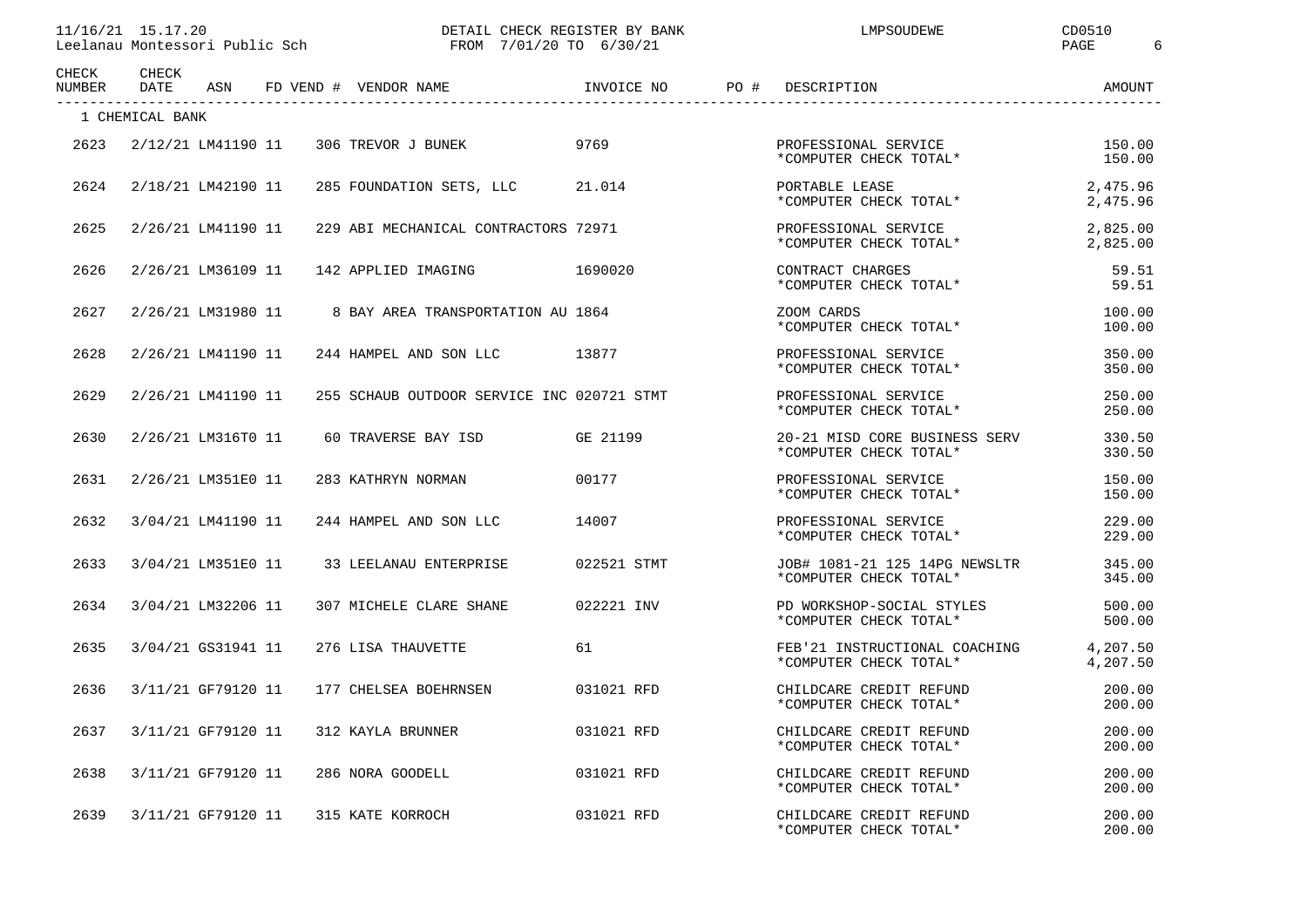| 11/16/21<br>15.17<br>.20               | CHECK REGISTER BY BANK<br>DETAIL  | MPSOUDEWE | CD0510 |
|----------------------------------------|-----------------------------------|-----------|--------|
| Leelanau Montessori<br>Public .<br>Sch | 720 TO<br>6/30/23<br>7/01<br>FROM |           | PAGE   |

DM 7/01/20 TO 6/30/21 PAGE 6

| CHECK<br>NUMBER | CHECK<br>DATE   | ASN                | FD VEND # VENDOR NAME                      | INVOICE NO  | PO # | DESCRIPTION                                             | AMOUNT               |
|-----------------|-----------------|--------------------|--------------------------------------------|-------------|------|---------------------------------------------------------|----------------------|
|                 | 1 CHEMICAL BANK |                    |                                            |             |      |                                                         |                      |
| 2623            |                 | 2/12/21 LM41190 11 | 306 TREVOR J BUNEK                         | 9769        |      | PROFESSIONAL SERVICE<br>*COMPUTER CHECK TOTAL*          | 150.00<br>150.00     |
| 2624            |                 | 2/18/21 LM42190 11 | 285 FOUNDATION SETS, LLC                   | 21.014      |      | PORTABLE LEASE<br>*COMPUTER CHECK TOTAL*                | 2,475.96<br>2,475.96 |
| 2625            |                 | 2/26/21 LM41190 11 | 229 ABI MECHANICAL CONTRACTORS 72971       |             |      | PROFESSIONAL SERVICE<br>*COMPUTER CHECK TOTAL*          | 2,825.00<br>2,825.00 |
| 2626            |                 | 2/26/21 LM36109 11 | 1690020<br>142 APPLIED IMAGING             |             |      | CONTRACT CHARGES<br>*COMPUTER CHECK TOTAL*              | 59.51<br>59.51       |
| 2627            |                 | 2/26/21 LM31980 11 | 8 BAY AREA TRANSPORTATION AU 1864          |             |      | ZOOM CARDS<br>*COMPUTER CHECK TOTAL*                    | 100.00<br>100.00     |
| 2628            |                 | 2/26/21 LM41190 11 | 244 HAMPEL AND SON LLC 13877               |             |      | PROFESSIONAL SERVICE<br>*COMPUTER CHECK TOTAL*          | 350.00<br>350.00     |
| 2629            |                 | 2/26/21 LM41190 11 | 255 SCHAUB OUTDOOR SERVICE INC 020721 STMT |             |      | PROFESSIONAL SERVICE<br>*COMPUTER CHECK TOTAL*          | 250.00<br>250.00     |
| 2630            |                 | 2/26/21 LM316T0 11 | 60 TRAVERSE BAY ISD                        | GE 21199    |      | 20-21 MISD CORE BUSINESS SERV<br>*COMPUTER CHECK TOTAL* | 330.50<br>330.50     |
| 2631            |                 | 2/26/21 LM351E0 11 | 283 KATHRYN NORMAN                         | 00177       |      | PROFESSIONAL SERVICE<br>*COMPUTER CHECK TOTAL*          | 150.00<br>150.00     |
| 2632            |                 | 3/04/21 LM41190 11 | 244 HAMPEL AND SON LLC                     | 14007       |      | PROFESSIONAL SERVICE<br>*COMPUTER CHECK TOTAL*          | 229.00<br>229.00     |
| 2633            |                 | 3/04/21 LM351E0 11 | 33 LEELANAU ENTERPRISE                     | 022521 STMT |      | JOB# 1081-21 125 14PG NEWSLTR<br>*COMPUTER CHECK TOTAL* | 345.00<br>345.00     |
| 2634            |                 | 3/04/21 LM32206 11 | 307 MICHELE CLARE SHANE                    | 022221 INV  |      | PD WORKSHOP-SOCIAL STYLES<br>*COMPUTER CHECK TOTAL*     | 500.00<br>500.00     |
| 2635            |                 | 3/04/21 GS31941 11 | 276 LISA THAUVETTE                         | 61          |      | FEB'21 INSTRUCTIONAL COACHING<br>*COMPUTER CHECK TOTAL* | 4,207.50<br>4,207.50 |
| 2636            |                 | 3/11/21 GF79120 11 | 177 CHELSEA BOEHRNSEN                      | 031021 RFD  |      | CHILDCARE CREDIT REFUND<br>*COMPUTER CHECK TOTAL*       | 200.00<br>200.00     |
| 2637            |                 | 3/11/21 GF79120 11 | 312 KAYLA BRUNNER                          | 031021 RFD  |      | CHILDCARE CREDIT REFUND<br>*COMPUTER CHECK TOTAL*       | 200.00<br>200.00     |
| 2638            |                 | 3/11/21 GF79120 11 | 286 NORA GOODELL                           | 031021 RFD  |      | CHILDCARE CREDIT REFUND<br>*COMPUTER CHECK TOTAL*       | 200.00<br>200.00     |
| 2639            |                 | 3/11/21 GF79120 11 | 315 KATE KORROCH                           | 031021 RFD  |      | CHILDCARE CREDIT REFUND<br>*COMPUTER CHECK TOTAL*       | 200.00<br>200.00     |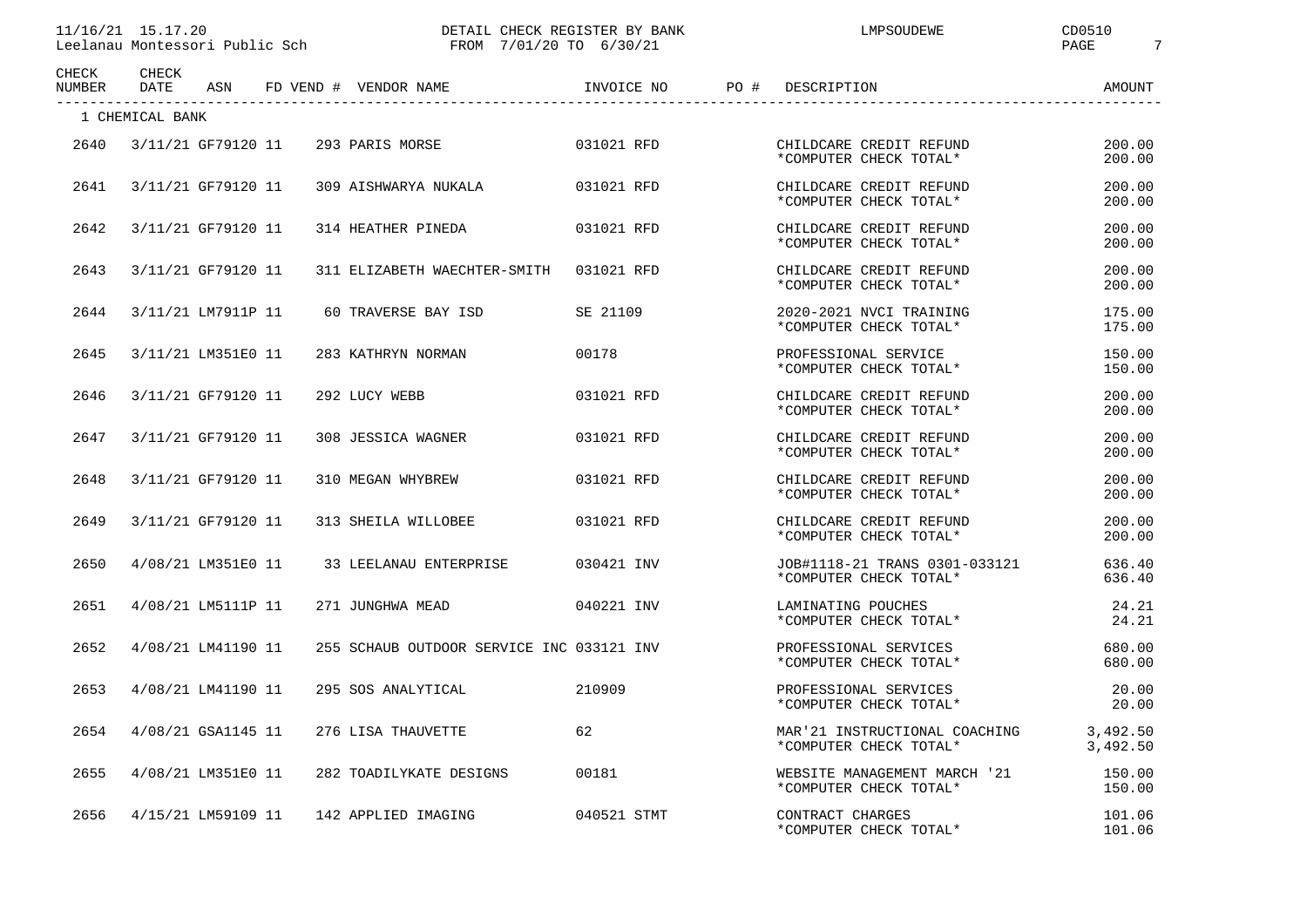|  | 11/16/21 15.17.20 |  |  |
|--|-------------------|--|--|
|--|-------------------|--|--|

| 1111 <i>1</i> 101<br>.20<br>7.2.1<br>$\perp$ $\perp$ $\perp$ $\uparrow$ $\uparrow$ | CHECK REGISTER BY BANK                                                                                                                               | MPSOUDEWE | ⊐DO⊾<br>◡◡◡◡+ |
|------------------------------------------------------------------------------------|------------------------------------------------------------------------------------------------------------------------------------------------------|-----------|---------------|
| Leelanau<br>Montessori<br>Public Sch<br>-961                                       | 5/30/21<br>/20 TO<br>7/01<br>FROM<br>the contract of the contract of the contract of the contract of the contract of the contract of the contract of |           | PAGE          |

| CHECK<br>NUMBER | CHECK<br>DATE   | ASN                |  | FD VEND # VENDOR NAME                     | INVOICE NO PO # | DESCRIPTION                                             | AMOUNT               |
|-----------------|-----------------|--------------------|--|-------------------------------------------|-----------------|---------------------------------------------------------|----------------------|
|                 | 1 CHEMICAL BANK |                    |  |                                           |                 |                                                         |                      |
| 2640            |                 | 3/11/21 GF79120 11 |  | 293 PARIS MORSE                           | 031021 RFD      | CHILDCARE CREDIT REFUND<br>*COMPUTER CHECK TOTAL*       | 200.00<br>200.00     |
| 2641            |                 | 3/11/21 GF79120 11 |  | 309 AISHWARYA NUKALA                      | 031021 RFD      | CHILDCARE CREDIT REFUND<br>*COMPUTER CHECK TOTAL*       | 200.00<br>200.00     |
| 2642            |                 | 3/11/21 GF79120 11 |  | 314 HEATHER PINEDA                        | 031021 RFD      | CHILDCARE CREDIT REFUND<br>*COMPUTER CHECK TOTAL*       | 200.00<br>200.00     |
| 2643            |                 | 3/11/21 GF79120 11 |  | 311 ELIZABETH WAECHTER-SMITH              | 031021 RFD      | CHILDCARE CREDIT REFUND<br>*COMPUTER CHECK TOTAL*       | 200.00<br>200.00     |
| 2644            |                 | 3/11/21 LM7911P 11 |  | 60 TRAVERSE BAY ISD                       | SE 21109        | 2020-2021 NVCI TRAINING<br>*COMPUTER CHECK TOTAL*       | 175.00<br>175.00     |
| 2645            |                 | 3/11/21 LM351E0 11 |  | 283 KATHRYN NORMAN                        | 00178           | PROFESSIONAL SERVICE<br>*COMPUTER CHECK TOTAL*          | 150.00<br>150.00     |
| 2646            |                 | 3/11/21 GF79120 11 |  | 292 LUCY WEBB                             | 031021 RFD      | CHILDCARE CREDIT REFUND<br>*COMPUTER CHECK TOTAL*       | 200.00<br>200.00     |
| 2647            |                 | 3/11/21 GF79120 11 |  | 308 JESSICA WAGNER                        | 031021 RFD      | CHILDCARE CREDIT REFUND<br>*COMPUTER CHECK TOTAL*       | 200.00<br>200.00     |
| 2648            |                 | 3/11/21 GF79120 11 |  | 310 MEGAN WHYBREW                         | 031021 RFD      | CHILDCARE CREDIT REFUND<br>*COMPUTER CHECK TOTAL*       | 200.00<br>200.00     |
| 2649            |                 | 3/11/21 GF79120 11 |  | 313 SHEILA WILLOBEE                       | 031021 RFD      | CHILDCARE CREDIT REFUND<br>*COMPUTER CHECK TOTAL*       | 200.00<br>200.00     |
| 2650            |                 | 4/08/21 LM351E0 11 |  | 33 LEELANAU ENTERPRISE                    | 030421 INV      | JOB#1118-21 TRANS 0301-033121<br>*COMPUTER CHECK TOTAL* | 636.40<br>636.40     |
| 2651            |                 | 4/08/21 LM5111P 11 |  | 271 JUNGHWA MEAD                          | 040221 INV      | LAMINATING POUCHES<br>*COMPUTER CHECK TOTAL*            | 24.21<br>24.21       |
| 2652            |                 | 4/08/21 LM41190 11 |  | 255 SCHAUB OUTDOOR SERVICE INC 033121 INV |                 | PROFESSIONAL SERVICES<br>*COMPUTER CHECK TOTAL*         | 680.00<br>680.00     |
| 2653            |                 | 4/08/21 LM41190 11 |  | 295 SOS ANALYTICAL                        | 210909          | PROFESSIONAL SERVICES<br>*COMPUTER CHECK TOTAL*         | 20.00<br>20.00       |
| 2654            |                 | 4/08/21 GSA1145 11 |  | 276 LISA THAUVETTE                        | 62              | MAR'21 INSTRUCTIONAL COACHING<br>*COMPUTER CHECK TOTAL* | 3,492.50<br>3,492.50 |
| 2655            |                 | 4/08/21 LM351E0 11 |  | 282 TOADILYKATE DESIGNS                   | 00181           | WEBSITE MANAGEMENT MARCH '21<br>*COMPUTER CHECK TOTAL*  | 150.00<br>150.00     |
| 2656            |                 | 4/15/21 LM59109 11 |  | 142 APPLIED IMAGING                       | 040521 STMT     | CONTRACT CHARGES<br>*COMPUTER CHECK TOTAL*              | 101.06<br>101.06     |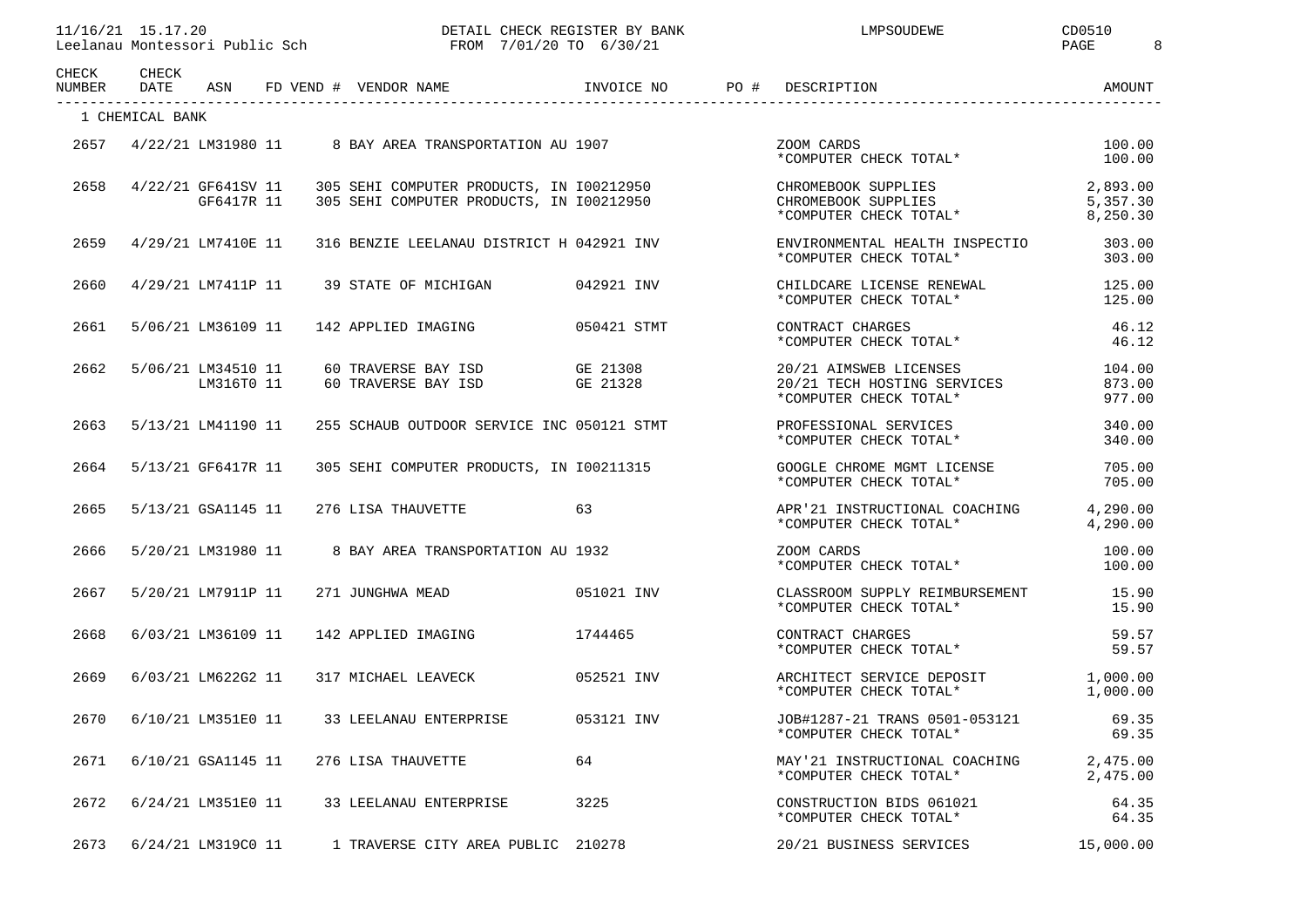| CHECK<br><b>NUMBER</b> | <b>CHECK</b><br><b>DATE</b> | ASN                              | FD VEND # VENDOR NAME                                                                | INVOICE NO           | PO# | DESCRIPTION                                                                     | AMOUNT                           |
|------------------------|-----------------------------|----------------------------------|--------------------------------------------------------------------------------------|----------------------|-----|---------------------------------------------------------------------------------|----------------------------------|
|                        | 1 CHEMICAL BANK             |                                  |                                                                                      |                      |     |                                                                                 |                                  |
| 2657                   |                             | 4/22/21 LM31980 11               | 8 BAY AREA TRANSPORTATION AU 1907                                                    |                      |     | ZOOM CARDS<br>*COMPUTER CHECK TOTAL*                                            | 100.00<br>100.00                 |
| 2658                   |                             | 4/22/21 GF641SV 11<br>GF6417R 11 | 305 SEHI COMPUTER PRODUCTS, IN 100212950<br>305 SEHI COMPUTER PRODUCTS, IN 100212950 |                      |     | CHROMEBOOK SUPPLIES<br>CHROMEBOOK SUPPLIES<br>*COMPUTER CHECK TOTAL*            | 2,893.00<br>5,357.30<br>8,250.30 |
| 2659                   |                             | 4/29/21 LM7410E 11               | 316 BENZIE LEELANAU DISTRICT H 042921 INV                                            |                      |     | ENVIRONMENTAL HEALTH INSPECTIO<br>*COMPUTER CHECK TOTAL*                        | 303.00<br>303.00                 |
| 2660                   |                             | 4/29/21 LM7411P 11               | 39 STATE OF MICHIGAN                                                                 | 042921 INV           |     | CHILDCARE LICENSE RENEWAL<br>*COMPUTER CHECK TOTAL*                             | 125.00<br>125.00                 |
| 2661                   |                             | 5/06/21 LM36109 11               | 142 APPLIED IMAGING                                                                  | 050421 STMT          |     | CONTRACT CHARGES<br>*COMPUTER CHECK TOTAL*                                      | 46.12<br>46.12                   |
| 2662                   |                             | 5/06/21 LM34510 11<br>LM316T0 11 | 60 TRAVERSE BAY ISD<br>60 TRAVERSE BAY ISD                                           | GE 21308<br>GE 21328 |     | 20/21 AIMSWEB LICENSES<br>20/21 TECH HOSTING SERVICES<br>*COMPUTER CHECK TOTAL* | 104.00<br>873.00<br>977.00       |
| 2663                   |                             | 5/13/21 LM41190 11               | 255 SCHAUB OUTDOOR SERVICE INC 050121 STMT                                           |                      |     | PROFESSIONAL SERVICES<br>*COMPUTER CHECK TOTAL*                                 | 340.00<br>340.00                 |
| 2664                   |                             | 5/13/21 GF6417R 11               | 305 SEHI COMPUTER PRODUCTS, IN 100211315                                             |                      |     | GOOGLE CHROME MGMT LICENSE<br>*COMPUTER CHECK TOTAL*                            | 705.00<br>705.00                 |
| 2665                   |                             | 5/13/21 GSA1145 11               | 276 LISA THAUVETTE                                                                   | 63                   |     | APR'21 INSTRUCTIONAL COACHING<br>*COMPUTER CHECK TOTAL*                         | 4,290.00<br>4,290.00             |
| 2666                   |                             | 5/20/21 LM31980 11               | 8 BAY AREA TRANSPORTATION AU 1932                                                    |                      |     | ZOOM CARDS<br>*COMPUTER CHECK TOTAL*                                            | 100.00<br>100.00                 |
| 2667                   |                             | 5/20/21 LM7911P 11               | 271 JUNGHWA MEAD                                                                     | 051021 INV           |     | CLASSROOM SUPPLY REIMBURSEMENT<br>*COMPUTER CHECK TOTAL*                        | 15.90<br>15.90                   |
| 2668                   |                             | 6/03/21 LM36109 11               | 142 APPLIED IMAGING                                                                  | 1744465              |     | CONTRACT CHARGES<br>*COMPUTER CHECK TOTAL*                                      | 59.57<br>59.57                   |
| 2669                   |                             | 6/03/21 LM622G2 11               | 317 MICHAEL LEAVECK                                                                  | 052521 INV           |     | ARCHITECT SERVICE DEPOSIT<br>*COMPUTER CHECK TOTAL*                             | 1,000.00<br>1,000.00             |
| 2670                   |                             | 6/10/21 LM351E0 11               | 33 LEELANAU ENTERPRISE                                                               | 053121 INV           |     | JOB#1287-21 TRANS 0501-053121<br>*COMPUTER CHECK TOTAL*                         | 69.35<br>69.35                   |
| 2671                   |                             | 6/10/21 GSA1145 11               | 276 LISA THAUVETTE                                                                   | 64                   |     | MAY'21 INSTRUCTIONAL COACHING<br>*COMPUTER CHECK TOTAL*                         | 2,475.00<br>2,475.00             |
| 2672                   |                             | 6/24/21 LM351E0 11               | 33 LEELANAU ENTERPRISE                                                               | 3225                 |     | CONSTRUCTION BIDS 061021<br>*COMPUTER CHECK TOTAL*                              | 64.35<br>64.35                   |
| 2673                   |                             | 6/24/21 LM319C0 11               | 1 TRAVERSE CITY AREA PUBLIC 210278                                                   |                      |     | 20/21 BUSINESS SERVICES                                                         | 15,000.00                        |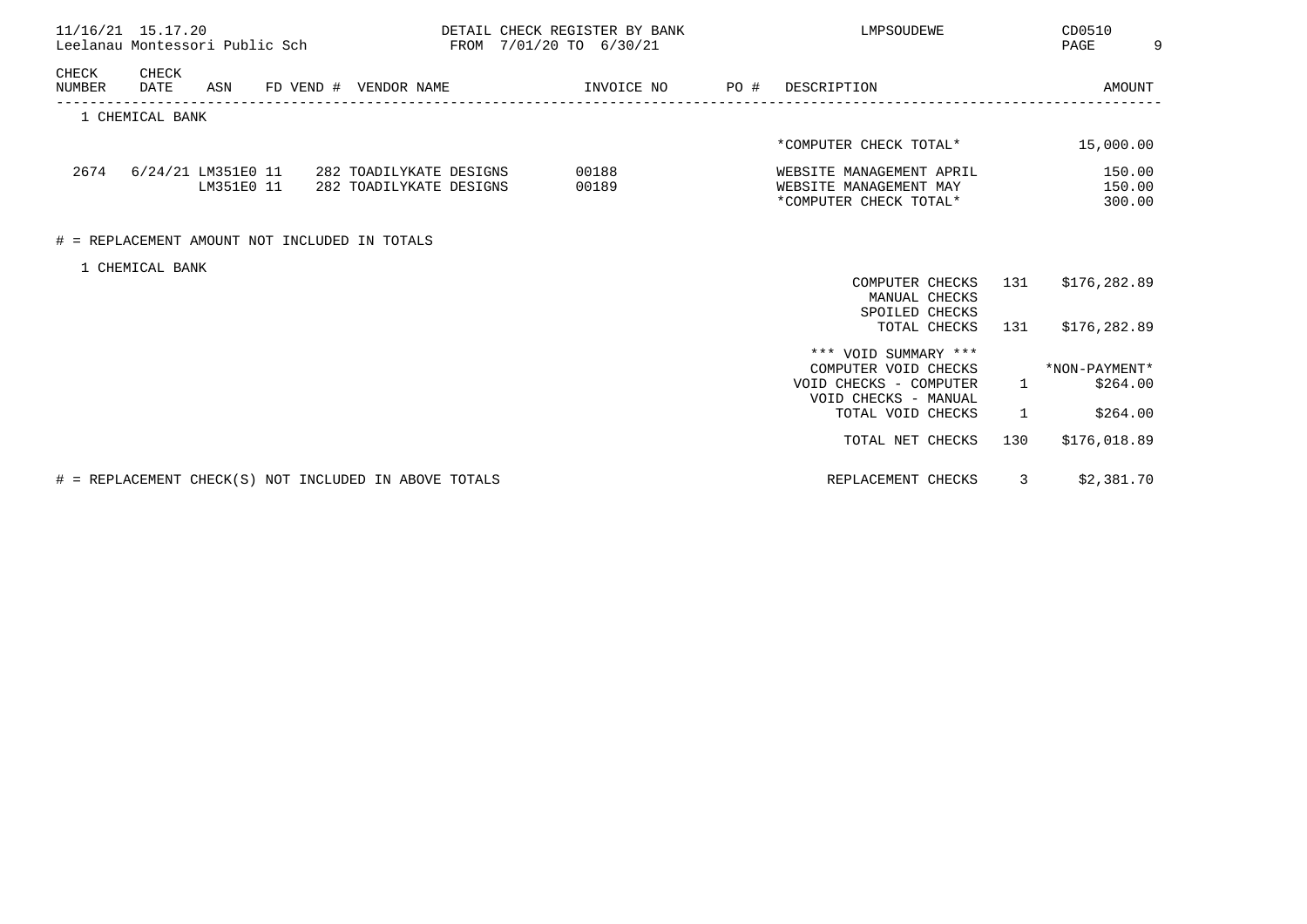| 11/16/21 15.17.20<br>Leelanau Montessori Public Sch              |                         | DETAIL CHECK REGISTER BY BANK<br>FROM 7/01/20 TO 6/30/21 |  | LMPSOUDEWE                                                                                     |              | CD0510<br>PAGE              |  |
|------------------------------------------------------------------|-------------------------|----------------------------------------------------------|--|------------------------------------------------------------------------------------------------|--------------|-----------------------------|--|
| CHECK<br>CHECK<br>NUMBER<br>DATE<br>ASN<br>FD VEND # VENDOR NAME |                         | INVOICE NO  PO #                                         |  | DESCRIPTION                                                                                    |              | AMOUNT                      |  |
| 1 CHEMICAL BANK                                                  |                         |                                                          |  |                                                                                                |              |                             |  |
|                                                                  |                         |                                                          |  | *COMPUTER CHECK TOTAL*                                                                         |              | 15,000.00                   |  |
| 2674 6/24/21 LM351E0 11 282 TOADILYKATE DESIGNS<br>LM351E0 11    | 282 TOADILYKATE DESIGNS | 00188<br>00189                                           |  | WEBSITE MANAGEMENT APRIL<br>WEBSITE MANAGEMENT MAY<br>*COMPUTER CHECK TOTAL*                   |              | 150.00<br>150.00<br>300.00  |  |
| # = REPLACEMENT AMOUNT NOT INCLUDED IN TOTALS                    |                         |                                                          |  |                                                                                                |              |                             |  |
| 1 CHEMICAL BANK                                                  |                         |                                                          |  |                                                                                                |              |                             |  |
|                                                                  |                         |                                                          |  | COMPUTER CHECKS<br>MANUAL CHECKS<br>SPOILED CHECKS                                             | 131          | \$176,282.89                |  |
|                                                                  |                         |                                                          |  | TOTAL CHECKS                                                                                   | 131          | \$176,282.89                |  |
|                                                                  |                         |                                                          |  | *** VOID SUMMARY ***<br>COMPUTER VOID CHECKS<br>VOID CHECKS - COMPUTER<br>VOID CHECKS - MANUAL |              | *NON-PAYMENT*<br>1 \$264.00 |  |
|                                                                  |                         |                                                          |  | TOTAL VOID CHECKS                                                                              | $\mathbf{1}$ | \$264.00                    |  |
|                                                                  |                         |                                                          |  | TOTAL NET CHECKS                                                                               | 130          | \$176,018.89                |  |
| # = REPLACEMENT CHECK(S) NOT INCLUDED IN ABOVE TOTALS            |                         |                                                          |  | REPLACEMENT CHECKS                                                                             | 3            | \$2,381.70                  |  |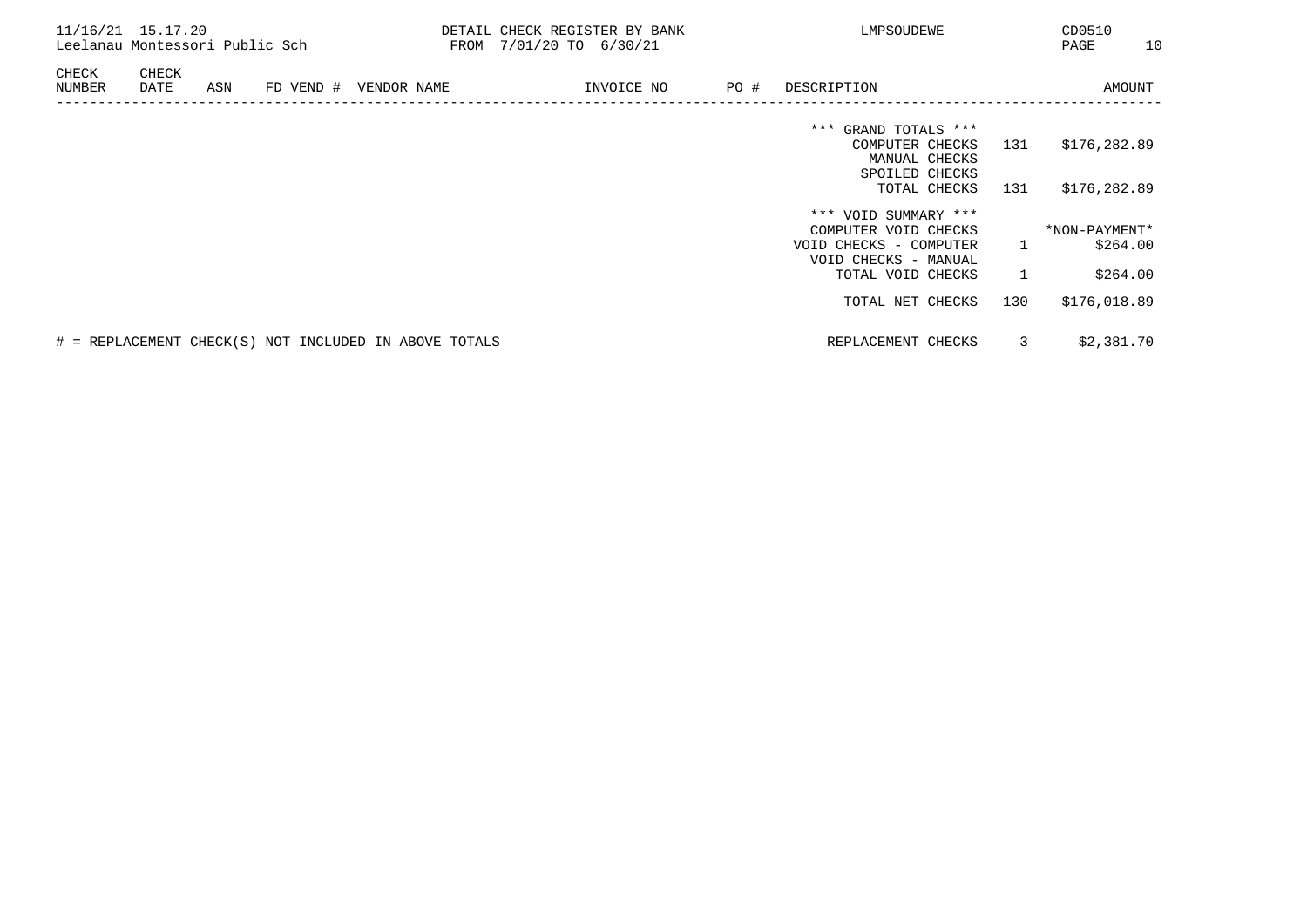| 11/16/21 15.17.20 |               | Leelanau Montessori Public Sch |  |                                                       | DETAIL CHECK REGISTER BY BANK<br>LMPSOUDEWE<br>FROM 7/01/20 TO 6/30/21 |      |                                                |                |               |          |  |  |  |  |  |  |  | CD0510<br>PAGE | 10 |
|-------------------|---------------|--------------------------------|--|-------------------------------------------------------|------------------------------------------------------------------------|------|------------------------------------------------|----------------|---------------|----------|--|--|--|--|--|--|--|----------------|----|
| CHECK<br>NUMBER   | CHECK<br>DATE | ASN                            |  | FD VEND # VENDOR NAME                                 | INVOICE NO                                                             | PO # | DESCRIPTION                                    |                |               | AMOUNT   |  |  |  |  |  |  |  |                |    |
|                   |               |                                |  |                                                       |                                                                        |      | *** GRAND TOTALS ***<br>COMPUTER CHECKS        | 131            | \$176,282.89  |          |  |  |  |  |  |  |  |                |    |
|                   |               |                                |  |                                                       |                                                                        |      | MANUAL CHECKS<br>SPOILED CHECKS                |                |               |          |  |  |  |  |  |  |  |                |    |
|                   |               |                                |  |                                                       |                                                                        |      | TOTAL CHECKS                                   | 131            | \$176,282.89  |          |  |  |  |  |  |  |  |                |    |
|                   |               |                                |  |                                                       |                                                                        |      | *** VOID SUMMARY ***<br>COMPUTER VOID CHECKS   |                | *NON-PAYMENT* |          |  |  |  |  |  |  |  |                |    |
|                   |               |                                |  |                                                       |                                                                        |      | VOID CHECKS - COMPUTER<br>VOID CHECKS - MANUAL | 1              |               | \$264.00 |  |  |  |  |  |  |  |                |    |
|                   |               |                                |  |                                                       |                                                                        |      | TOTAL VOID CHECKS                              | $\overline{1}$ |               | \$264.00 |  |  |  |  |  |  |  |                |    |
|                   |               |                                |  |                                                       |                                                                        |      | TOTAL NET CHECKS                               | 130            | \$176,018.89  |          |  |  |  |  |  |  |  |                |    |
|                   |               |                                |  | # = REPLACEMENT CHECK(S) NOT INCLUDED IN ABOVE TOTALS |                                                                        |      | REPLACEMENT CHECKS                             | 3              | \$2,381.70    |          |  |  |  |  |  |  |  |                |    |